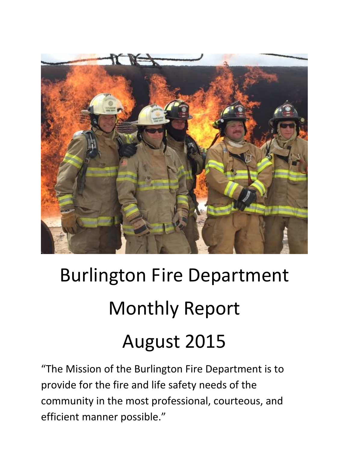

# Burlington Fire Department Monthly Report August 2015

"The Mission of the Burlington Fire Department is to provide for the fire and life safety needs of the community in the most professional, courteous, and efficient manner possible."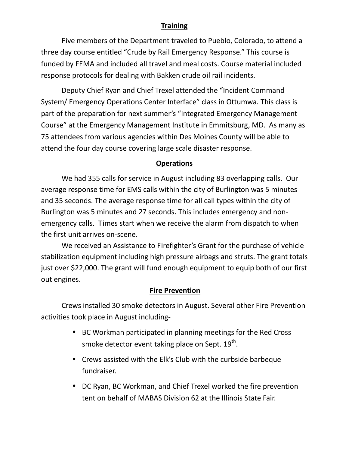### **Training**

 Five members of the Department traveled to Pueblo, Colorado, to attend a three day course entitled "Crude by Rail Emergency Response." This course is funded by FEMA and included all travel and meal costs. Course material included response protocols for dealing with Bakken crude oil rail incidents.

 Deputy Chief Ryan and Chief Trexel attended the "Incident Command System/ Emergency Operations Center Interface" class in Ottumwa. This class is part of the preparation for next summer's "Integrated Emergency Management Course" at the Emergency Management Institute in Emmitsburg, MD. As many as 75 attendees from various agencies within Des Moines County will be able to attend the four day course covering large scale disaster response.

#### **Operations**

We had 355 calls for service in August including 83 overlapping calls. Our average response time for EMS calls within the city of Burlington was 5 minutes and 35 seconds. The average response time for all call types within the city of Burlington was 5 minutes and 27 seconds. This includes emergency and nonemergency calls. Times start when we receive the alarm from dispatch to when the first unit arrives on-scene.

We received an Assistance to Firefighter's Grant for the purchase of vehicle stabilization equipment including high pressure airbags and struts. The grant totals just over \$22,000. The grant will fund enough equipment to equip both of our first out engines.

#### **Fire Prevention**

Crews installed 30 smoke detectors in August. Several other Fire Prevention activities took place in August including-

- BC Workman participated in planning meetings for the Red Cross smoke detector event taking place on Sept.  $19^{th}$ .
- Crews assisted with the Elk's Club with the curbside barbeque fundraiser.
- DC Ryan, BC Workman, and Chief Trexel worked the fire prevention tent on behalf of MABAS Division 62 at the Illinois State Fair.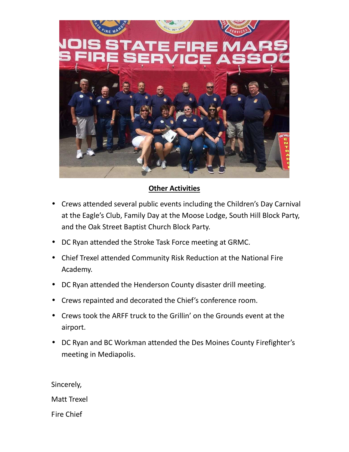

# **Other Activities**

- Crews attended several public events including the Children's Day Carnival at the Eagle's Club, Family Day at the Moose Lodge, South Hill Block Party, and the Oak Street Baptist Church Block Party.
- DC Ryan attended the Stroke Task Force meeting at GRMC.
- Chief Trexel attended Community Risk Reduction at the National Fire Academy.
- DC Ryan attended the Henderson County disaster drill meeting.
- Crews repainted and decorated the Chief's conference room.
- Crews took the ARFF truck to the Grillin' on the Grounds event at the airport.
- DC Ryan and BC Workman attended the Des Moines County Firefighter's meeting in Mediapolis.

Sincerely, Matt Trexel Fire Chief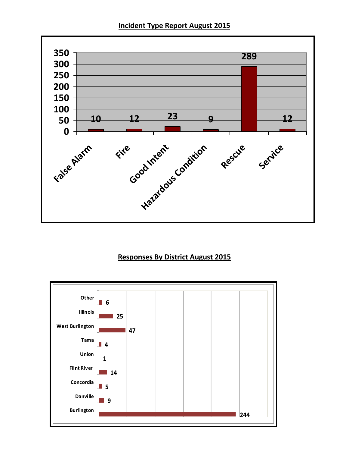



# **Responses By District August 2015**